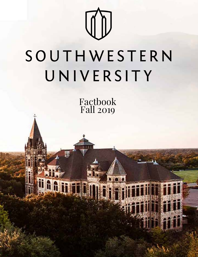

# SOUTHWESTERN UNIVERSITY

Factbook Fall 2019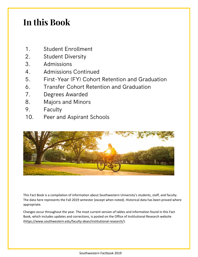# **In this Book**

- 1. Student Enrollment
- 2. Student Diversity
- 3. Admissions
- 4. Admissions Continued
- 5. First-Year (FY) Cohort Retention and Graduation
- 6. Transfer Cohort Retention and Graduation
- 7. Degrees Awarded
- 8. Majors and Minors
- 9. Faculty
- 10. Peer and Aspirant Schools



This Fact Book is a compilation of information about Southwestern University's students, staff, and faculty. The data here represents the Fall 2019 semester (except when noted). Historical data has been proved where appropriate.

Changes occur throughout the year. The most current version of tables and information found in this Fact Book, which includes updates and corrections, is posted on the Office of Institutional Research website [\(https://www.southwestern.edu/faculty-dean/institutional-research/\)](https://www.southwestern.edu/faculty-dean/institutional-research/).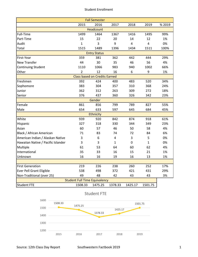#### Student Enrollment

| <b>Fall Semester</b>               |                |                                      |                |         |              |        |  |
|------------------------------------|----------------|--------------------------------------|----------------|---------|--------------|--------|--|
|                                    | 2015           | 2016                                 | 2017           | 2018    | 2019         | % 2019 |  |
|                                    |                | <b>Headcount</b>                     |                |         |              |        |  |
| Full-Time                          | 1499           | 1464                                 | 1367           | 1416    | 1495         | 99%    |  |
| Part-Time                          | 15             | 22                                   | 20             | 14      | 12           | 1%     |  |
| Audit                              | $\mathbf{1}$   | 3                                    | 9              | 4       | 4            | 0%     |  |
| Total                              | 1515           | 1489                                 | 1396           | 1434    | 1511         | 100%   |  |
|                                    |                | <b>Entry Status</b>                  |                |         |              |        |  |
| First-Year                         | 359            | 381                                  | 362            | 442     | 444          | 29%    |  |
| <b>New Transfer</b>                | 44             | 30                                   | 35             | 46      | 56           | 4%     |  |
| Continuing Student                 | 1110           | 1066                                 | 983            | 940     | 1002         | 66%    |  |
| Other                              | $\overline{2}$ | 12                                   | 16             | 6       | 9            | 1%     |  |
|                                    |                | <b>Class based on Credits Earned</b> |                |         |              |        |  |
| Freshmen                           | 392            | 424                                  | 400            | 483     | 520          | 34%    |  |
| Sophomore                          | 383            | 304                                  | 357            | 310     | 368          | 24%    |  |
| Junior                             | 362            | 312                                  | 263            | 309     | 272          | 18%    |  |
| Senior                             | 376            | 437                                  | 360            | 326     | 342          | 23%    |  |
|                                    |                | Gender                               |                |         |              |        |  |
| Female                             | 861            | 856                                  | 799            | 789     | 827          | 55%    |  |
| Male                               | 654            | 633                                  | 597            | 645     | 684          | 45%    |  |
|                                    |                | <b>Ethnicity</b>                     |                |         |              |        |  |
| White                              | 939            | 920                                  | 842            | 874     | 918          | 61%    |  |
| Hispanic                           | 327            | 318                                  | 330            | 344     | 349          | 23%    |  |
| Asian                              | 60             | 57                                   | 46             | 50      | 58           | 4%     |  |
| Black / African American           | 71             | 83                                   | 74             | 72      | 84           | 6%     |  |
| American Indian / Alaskan Native   | 3              | 6                                    | $\overline{4}$ | 3       | 5            | 0%     |  |
| Hawaiian Native / Pacific Islander | 3              | 3                                    | $\mathbf{1}$   | 0       | $\mathbf{1}$ | 0%     |  |
| Multiple                           | 61             | 53                                   | 64             | 60      | 62           | 4%     |  |
| International                      | 35             | 33                                   | 16             | 15      | 21           | 1%     |  |
| Unknown                            | 16             | 16                                   | 19             | 16      | 13           | 1%     |  |
|                                    |                |                                      |                |         |              |        |  |
| <b>First Generation</b>            | 219            | 226                                  | 238            | 260     | 252          | 17%    |  |
| <b>Ever Pell Grant Eligible</b>    | 538            | 498                                  | 372            | 421     | 431          | 29%    |  |
| Non-Traditional (over 25)          | 49             | 48                                   | 42             | 43      | 43           | 3%     |  |
|                                    |                | <b>Student Full Time Equivalency</b> |                |         |              |        |  |
| <b>Student FTE</b>                 | 1508.33        | 1475.25                              | 1378.33        | 1425.17 | 1501.75      |        |  |



Student FTE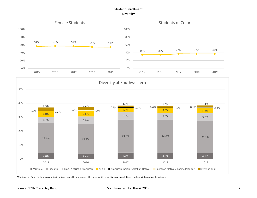# Student Enrollment Diversity



\*Students of Color includes Asian, African American, Hispanic, and other non-white non-Hispanic populations, excludes international students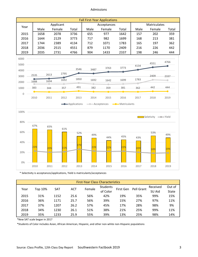#### Admissions

|      | <b>Fall First-Year Applications</b> |           |       |      |             |       |      |                     |       |  |
|------|-------------------------------------|-----------|-------|------|-------------|-------|------|---------------------|-------|--|
| Year |                                     | Applicant |       |      | Acceptances |       |      | <b>Matriculates</b> |       |  |
|      | Male                                | Female    | Total | Male | Female      | Total | Male | Female              | Total |  |
| 2015 | 1658                                | 2078      | 3736  | 655  | 977         | 1642  | 157  | 202                 | 359   |  |
| 2016 | 1644                                | 2129      | 3773  | 717  | 982         | 1699  | 168  | 213                 | 381   |  |
| 2017 | 1744                                | 2389      | 4134  | 712  | 1071        | 1783  | 165  | 197                 | 362   |  |
| 2018 | 2036                                | 2515      | 4551  | 879  | 1170        | 2409  | 216  | 226                 | 442   |  |
| 2019 | 2035                                | 2731      | 4766  | 904  | 1433        | 2337  | 198  | 246                 | 444   |  |





\* Selectivity is acceptances/applications, Yield is matriculants/acceptances

|      | <b>First-Year Class Characteristics</b> |            |            |        |                 |           |            |          |              |
|------|-----------------------------------------|------------|------------|--------|-----------------|-----------|------------|----------|--------------|
| Year | Top 10%                                 | <b>SAT</b> | <b>ACT</b> | Female | <b>Students</b> | First Gen | Pell Grant | Received | Out of       |
|      |                                         |            |            |        | of Color        |           |            | SU Aid   | <b>State</b> |
| 2015 | 31%                                     | 1152       | 25.6       | 56%    | 42%             | 19%       | 35%        | 99%      | 15%          |
| 2016 | 36%                                     | 1171       | 25.7       | 56%    | 39%             | 15%       | 27%        | 97%      | 11%          |
| 2017 | 37%                                     | 1207       | 26.2       | 57%    | 45%             | 17%       | 28%        | 98%      | 9%           |
| 2018 | 34%                                     | 1230       | 26.1       | 51%    | 38%             | 21%       | 25%        | 99%      | 11%          |
| 2019 | 35%                                     | 1233       | 25.9       | 55%    | 39%             | 13%       | 25%        | 98%      | 14%          |

\*New SAT scale began in 2017

\*Students of Color includes Asian, African American, Hispanic, and other non-white non-Hispanic populations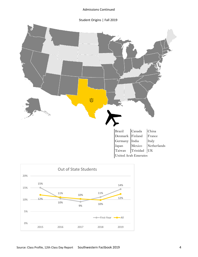Admissions Continued

Student Origins | Fall 2019



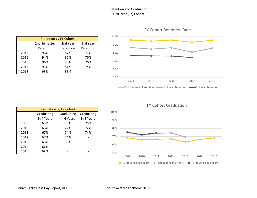# Retention and Graduation First-Year (FY) Cohort

|      | <b>Retention by FY Cohort</b>        |           |           |  |  |  |  |  |  |
|------|--------------------------------------|-----------|-----------|--|--|--|--|--|--|
|      | 2nd Year<br>3rd Year<br>2nd Semester |           |           |  |  |  |  |  |  |
|      | Retention                            | Retention | Retention |  |  |  |  |  |  |
| 2014 | 96%                                  | 87%       | 77%       |  |  |  |  |  |  |
| 2015 | 94%                                  | 85%       | 76%       |  |  |  |  |  |  |
| 2016 | 96%                                  | 86%       | 76%       |  |  |  |  |  |  |
| 2017 | 93%                                  | 81%       | 74%       |  |  |  |  |  |  |
| 2018 | 95%                                  | 86%       |           |  |  |  |  |  |  |



# FY Cohort Retention Rate

|      | <b>Graduation by FY Cohort</b> |            |            |  |  |  |  |  |  |
|------|--------------------------------|------------|------------|--|--|--|--|--|--|
|      | Graduating                     | Graduating | Graduating |  |  |  |  |  |  |
|      | in 4 Years                     | in 6 Years | in 8 Years |  |  |  |  |  |  |
| 2009 | 69%                            | 75%        | 75%        |  |  |  |  |  |  |
| 2010 | 66%                            | 72%        | 72%        |  |  |  |  |  |  |
| 2011 | 67%                            | 74%        | 74%        |  |  |  |  |  |  |
| 2012 | 67%                            | 74%        |            |  |  |  |  |  |  |
| 2013 | 63%                            | 69%        |            |  |  |  |  |  |  |
| 2014 | 66%                            |            |            |  |  |  |  |  |  |
| 2015 | 68%                            |            |            |  |  |  |  |  |  |

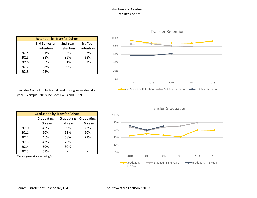# Retention and Graduation Transfer Cohort

|      | <b>Retention by Transfer Cohort</b> |           |           |  |  |  |  |  |  |
|------|-------------------------------------|-----------|-----------|--|--|--|--|--|--|
|      | 2nd Semester                        | 2nd Year  | 3rd Year  |  |  |  |  |  |  |
|      | Retention                           | Retention | Retention |  |  |  |  |  |  |
| 2014 | 94%                                 | 86%       | 57%       |  |  |  |  |  |  |
| 2015 | 88%                                 | 86%       | 58%       |  |  |  |  |  |  |
| 2016 | 89%                                 | 81%       | 62%       |  |  |  |  |  |  |
| 2017 | 88%                                 | 80%       |           |  |  |  |  |  |  |
| 2018 | 93%                                 |           |           |  |  |  |  |  |  |

Transfer Cohort includes Fall and Spring semester of a year. Example: 2018 includes FA18 and SP19.

|      | <b>Graduation by Transfer Cohort</b> |            |            |  |  |  |  |  |
|------|--------------------------------------|------------|------------|--|--|--|--|--|
|      | Graduating                           | Graduating | Graduating |  |  |  |  |  |
|      | in 3 Years                           | in 4 Years | in 6 Years |  |  |  |  |  |
| 2010 | 45%                                  | 69%        | 72%        |  |  |  |  |  |
| 2011 | 50%                                  | 58%        | 60%        |  |  |  |  |  |
| 2012 | 46%                                  | 68%        | 71%        |  |  |  |  |  |
| 2013 | 42%                                  | 70%        |            |  |  |  |  |  |
| 2014 | 60%                                  | 80%        |            |  |  |  |  |  |
| 2015 | 59%                                  |            |            |  |  |  |  |  |

Time is years since entering SU



Transfer Retention

# Transfer Graduation

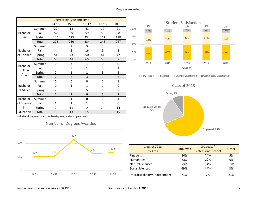|            |        |                         | Degrees by Type and Time |              |              |              |
|------------|--------|-------------------------|--------------------------|--------------|--------------|--------------|
|            |        | 14-15                   | $15 - 16$                | $16 - 17$    | $17 - 18$    | 18-19        |
|            | Summer | 27                      | 18                       | 41           | 17           | 21           |
| Bachelor   | Fall   | 52                      | 39                       | 59           | 50           | 38           |
| of Arts    | Spring | 146                     | 173                      | 234          | 179          | 188          |
|            | Total  | 225                     | 230                      | 334          | 246          | 247          |
|            | Summer | 3                       | $\overline{2}$           | 3            | 5            | 6            |
| Bachelor   | Fall   | 4                       | 3                        | 16           | 9            | 8            |
| of Science | Spring | 51                      | 43                       | 50           | 44           | 42           |
|            | Total  | 58                      | 48                       | 69           | 58           | 56           |
| Bachelor   | Summer | $\Omega$                | 3                        | $\mathbf{1}$ | 0            | 0            |
|            | Fall   | O                       | $\overline{2}$           | 1            | 0            | $\mathbf{1}$ |
| of Fine    | Spring | $\overline{2}$          | $\mathbf{1}$             | $\mathbf{1}$ | 3            | 5            |
| Arts       | Total  | $\overline{\mathbf{c}}$ | 6                        | 3            | 3            | 6            |
|            | Summer | $\Omega$                | 0                        | 0            | $\mathbf{1}$ | $\mathbf{1}$ |
| Bachelor   | Fall   | O                       | 1                        | $\mathbf{1}$ | 1            | 0            |
| of Music   | Spring | 7                       | 8                        | 5            | $\mathbf{1}$ | 7            |
|            | Total  | 7                       | 9                        | 6            | 3            | 8            |
| Bachelor   | Summer | O                       | $\mathbf{1}$             | 0            | $\mathbf{1}$ | $\mathbf 1$  |
| of Science | Fall   | 1                       | $\mathbf{1}$             | $\mathbf{1}$ | 0            | 0            |
| in         | Spring | 9                       | 11                       | 14           | 14           | 14           |
| Education  | Total  | 10                      | 13                       | 15           | 15           | 15           |







0%

25%

50%

75%

100%



40% 49% 48% 50% 47%

2014 2015 2016 2017 2018 Class of

46% 40% 44% 41% 40%

12% 10% 7% 8% 10% 1% 1% 1% 1% 2%

Student Satisfaction<br>1%<br>1%

| Class of 2018                 | Employed | Graduate/                  | Other |  |
|-------------------------------|----------|----------------------------|-------|--|
| by Area                       |          | <b>Professional School</b> |       |  |
| <b>Fine Arts</b>              | 80%      | 15%                        | 5%    |  |
| <b>Humanities</b>             | 83%      | 12%                        | 6%    |  |
| Natural Sciences              | 53%      | 34%                        | 13%   |  |
| Social Sciences               | 69%      | 23%                        | 8%    |  |
| Interdisciplinary/Independent | 71%      | 7%                         | 21%   |  |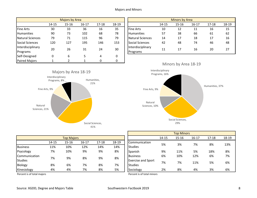|                      |       | Majors by Area |           |           |       |                   |       | Minors by Area |          |           |        |
|----------------------|-------|----------------|-----------|-----------|-------|-------------------|-------|----------------|----------|-----------|--------|
|                      | 14-15 | $15 - 16$      | $16 - 17$ | $17 - 18$ | 18-19 |                   | 14-15 | $15 - 16$      | 16-17    | $17 - 18$ | $18-1$ |
| <b>Fine Arts</b>     | 30    | 33             | 36        | 16        | 35    | <b>Fine Arts</b>  | 10    | 12             | 11       | 16        | 15     |
| Humanities           | 90    | 73             | 102       | 68        | 78    | <b>Humanities</b> | 57    | 38             | 66       | 61        | 62     |
| Natural Sciences     | 79    | 71             | 115       | 96        | 79    | Natural Sciences  | 14    | 17             | 18       | 17        | 16     |
| Social Sciences      | 120   | 127            | 195       | 146       | 153   | Social Sciences   | 42    | 48             | 74       | 46        | 48     |
| Interdisciplinary    | 20    | 26             | 31        | 24        | 30    | Interdisciplinary | 11    | 17             | 16       | 20        | 27     |
| Programs             |       |                |           |           |       | Programs          |       |                |          |           |        |
| Self-Designed        |       | 6              |           | 4         | 0     |                   |       |                |          |           |        |
| <b>Paired Majors</b> |       |                |           | 0         |       |                   | A     |                | $\cdots$ |           |        |

|       | Majors by Area |           |           |       |                               | <b>Minors by Area</b> |           |           |           |       |
|-------|----------------|-----------|-----------|-------|-------------------------------|-----------------------|-----------|-----------|-----------|-------|
| 14-15 | $15 - 16$      | $16 - 17$ | $17 - 18$ | 18-19 |                               | 14-15                 | $15 - 16$ | $16 - 17$ | $17 - 18$ | 18-19 |
| 30    | 33             | 36        | 16        | 35    | <b>Fine Arts</b>              | 10                    | 12        | 11        | 16        | 15    |
| 90    | 73             | 102       | 68        | 78    | <b>Humanities</b>             | 57                    | 38        | 66        | 61        | 62    |
| 79    | 71             | 115       | 96        | 79    | <b>Natural Sciences</b>       | 14                    | 17        | 18        | 17        | 16    |
| 120   | 127            | 195       | 146       | 153   | <b>Social Sciences</b>        | 42                    | 48        | 74        | 46        | 48    |
| 20    | 26             | 31        | 24        | 30    | Interdisciplinary<br>Programs | 11                    | 17        | 16        | 20        | 27    |







|                 |                   |           |           |           |       |                           | <b>UUU IVIIIIUIJ</b> |           |           |           |        |  |  |
|-----------------|-------------------|-----------|-----------|-----------|-------|---------------------------|----------------------|-----------|-----------|-----------|--------|--|--|
|                 | <b>Top Majors</b> |           |           |           |       |                           | 14-15                | $15 - 16$ | $16 - 17$ | $17 - 18$ | $18-1$ |  |  |
|                 | 14-15             | $15 - 16$ | $16 - 17$ | $17 - 18$ | 18-19 | Communication             | 5%                   | 3%        | 7%        | 8%        | 139    |  |  |
| <b>Business</b> | 11%               | 10%       | 12%       | 14%       | 14%   | <b>Studies</b>            |                      |           |           |           |        |  |  |
| Psycology       | 7%                | 10%       | 9%        | 9%        | 8%    | Spanish                   | 9%                   | 11%       | 5%        | 18%       | 8%     |  |  |
| Communication   |                   | 7%<br>9%  |           | 9%        | 8%    | <b>Business</b>           | 6%                   | 10%       | 12%       | 6%        | 7%     |  |  |
| <b>Studies</b>  |                   |           | 8%        |           |       | <b>Exercise and Sport</b> |                      |           |           |           |        |  |  |
| Biology         | 8%                | 6%        | 7%        | 8%        | 7%    | Studies                   | 7%                   | 7%        | 11%       | 5%        | 6%     |  |  |
| Kinesiology     | 4%                | 4%        | 7%        | 8%        | 5%    | Sociology                 | 2%                   | 8%        | 4%        | 3%        | 6%     |  |  |

Percent is of total majors **Percent** is of total minors

14-15 15-16 16-17 17-18 18-19 Business 6% 10% 12% 6% 7% Kinesiology 4% 4% 7% 8% 5% | |Sociology 2% 8% 4% 3% 6% Top Minors **Communication**<br>Studies 5% 3% Studies 7% 8% 13% Exercise and Sport Studies 7% 7% 11% 5% 6%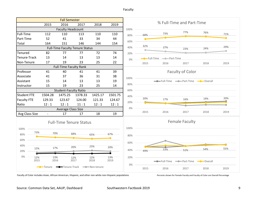Faculty

| <b>Fall Semester</b>                     |                                        |                               |             |             |             |      |                           |             |                                   |                           |      |  |
|------------------------------------------|----------------------------------------|-------------------------------|-------------|-------------|-------------|------|---------------------------|-------------|-----------------------------------|---------------------------|------|--|
|                                          | 2015                                   | 2016                          | 2017        | 2018        | 2019        |      | % Full-Time and Part-Time |             |                                   |                           |      |  |
|                                          |                                        | <b>Faculty Headcount</b>      |             |             |             | 100% |                           |             |                                   |                           |      |  |
| Full-Time                                | 112                                    | 110                           | 113         | 110         | 110         | 80%  | 68%                       | 73%         | 77%                               | 76%                       | 71%  |  |
| Part-Time                                | 52                                     | 41                            | 33          | 34          | 44          | 60%  |                           |             |                                   |                           |      |  |
| Total                                    | 164                                    | 151                           | 146         | 144         | 154         | 40%  | 32%                       |             |                                   |                           |      |  |
|                                          | <b>Full-Time Faculty Tenure Status</b> |                               |             |             |             |      |                           | 27%         | 23%                               | 24%                       | 29%  |  |
| Tenured                                  | 82                                     | 77                            | 77          | 72          | 74          | 20%  |                           |             |                                   |                           |      |  |
| Tenure-Track                             | 13                                     | 14                            | 13          | 13          | 14          | 0%   | <b>-0-Full-Time</b>       | - Part-Time |                                   |                           |      |  |
| Non-Tenure                               | 17                                     | 19                            | 23          | 25          | 22          |      | 2015                      | 2016        | 2017                              | 2018                      | 2019 |  |
|                                          |                                        | <b>Full-Time Faculty Rank</b> |             |             |             |      |                           |             |                                   |                           |      |  |
| Professor                                | 41                                     | 40                            | 41          | 41          | 39          |      | <b>Faculty of Color</b>   |             |                                   |                           |      |  |
| Associate                                | 41                                     | 37                            | 36          | 31          | 38          | 100% |                           |             |                                   |                           |      |  |
| Assistant                                | 15                                     | 14                            | 13          | 13          | 19          |      |                           |             | - Full-Time - Part-Time - Overall |                           |      |  |
| Instructor                               | 15                                     | 19                            | 23          | 25          | 14          | 80%  |                           |             |                                   |                           |      |  |
|                                          |                                        | <b>Student-Faculty Ratio</b>  |             |             |             | 60%  |                           |             |                                   |                           |      |  |
| <b>Student FTE</b>                       | 1504.28                                | 1475.25                       | 1378.33     | 1425.17     | 1501.75     | 40%  |                           |             |                                   |                           |      |  |
| <b>Faculty FTE</b>                       | 129.33                                 | 123.67                        | 124.00      | 121.33      | 124.67      | 20%  | 20%                       | 17%         | 16%                               | 19%                       | 20%  |  |
| Ratio                                    | 12:1                                   | 12:1                          | 11:1        | 12:1        | 12:1        | 0%   |                           |             |                                   |                           |      |  |
| Average Class Size                       |                                        |                               |             |             |             |      | 2015                      | 2016        | 2017                              | 2018                      | 2019 |  |
| Avg Class Size                           |                                        | 17                            | 17          | 18          | 19          |      |                           |             |                                   |                           |      |  |
| <b>Full-Time Tenure Status</b>           |                                        |                               |             |             |             |      | <b>Female Faculty</b>     |             |                                   |                           |      |  |
|                                          |                                        |                               |             |             |             | 100% |                           |             |                                   |                           |      |  |
| 100%<br>73%                              |                                        |                               |             |             |             |      |                           |             |                                   |                           |      |  |
| 80%                                      | 70%                                    |                               | 68%         | 65%         | 67%         | 80%  |                           |             |                                   |                           |      |  |
| 60%                                      |                                        |                               |             |             |             |      |                           |             |                                   |                           |      |  |
| 40%                                      |                                        |                               | 20%         | 23%         | 20%         | 60%  |                           |             |                                   |                           |      |  |
| 15%<br>20%                               | 17%                                    |                               |             |             |             | 40%  | 49%                       | 53%         | 51%                               | 54%                       | 55%  |  |
| 0%                                       |                                        |                               |             |             |             |      |                           |             |                                   |                           |      |  |
| 12%<br>2015                              | 13%<br>2016                            |                               | 12%<br>2017 | 12%<br>2018 | 13%<br>2019 | 20%  |                           | =Full-Time  | -Part-Time                        | $\longrightarrow$ Overall |      |  |
| Tenure-Track<br>-O-Non-tenure<br>•Tenure |                                        |                               |             |             |             | 0%   | 2015                      | 2016        | 2017                              | 2018                      | 2019 |  |

Faculty of Color includes Asian, African American, Hispanic, and other non-white non-Hispanic populations Percents Shown for Female Faculty and Faculty of Color are Overall Percentage